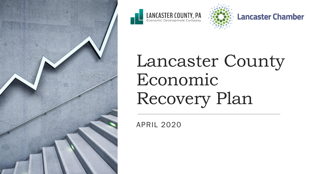







# Lancaster County Economic Recovery Plan

APRIL 2020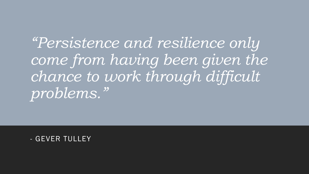*"Persistence and resilience only come from having been given the chance to work through difficult problems."*

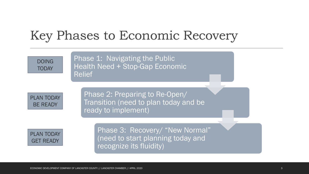### Key Phases to Economic Recovery

DOING TODAY

Phase 1: Navigating the Public Health Need + Stop-Gap Economic Relief

PLAN TODAY BE READY

Phase 2: Preparing to Re-Open/ Transition (need to plan today and be ready to implement)



Phase 3: Recovery/ "New Normal" (need to start planning today and recognize its fluidity)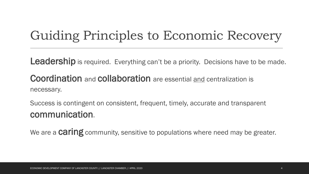### Guiding Principles to Economic Recovery

Leadership is required. Everything can't be a priority. Decisions have to be made.

Coordination and collaboration are essential and centralization is necessary.

Success is contingent on consistent, frequent, timely, accurate and transparent communication.

We are a **Caring** community, sensitive to populations where need may be greater.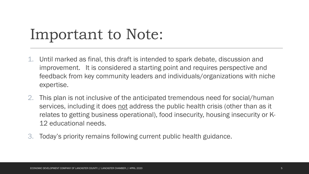## Important to Note:

- 1. Until marked as final, this draft is intended to spark debate, discussion and improvement. It is considered a starting point and requires perspective and feedback from key community leaders and individuals/organizations with niche expertise.
- 2. This plan is not inclusive of the anticipated tremendous need for social/human services, including it does not address the public health crisis (other than as it relates to getting business operational), food insecurity, housing insecurity or K-12 educational needs.
- 3. Today's priority remains following current public health guidance.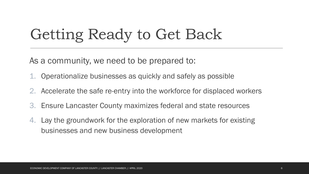## Getting Ready to Get Back

As a community, we need to be prepared to:

- 1. Operationalize businesses as quickly and safely as possible
- 2. Accelerate the safe re-entry into the workforce for displaced workers
- 3. Ensure Lancaster County maximizes federal and state resources
- 4. Lay the groundwork for the exploration of new markets for existing businesses and new business development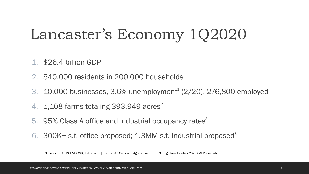## Lancaster's Economy 1Q2020

- 1. \$26.4 billion GDP
- 2. 540,000 residents in 200,000 households
- 3.  $10,000$  businesses,  $3.6\%$  unemployment<sup>1</sup> ( $2/20$ ),  $276,800$  employed
- 4.  $5,108$  farms totaling 393,949 acres<sup>2</sup>
- 5. 95% Class A office and industrial occupancy rates<sup>3</sup>
- 6. 300K+ s.f. office proposed; 1.3MM s.f. industrial proposed<sup>3</sup>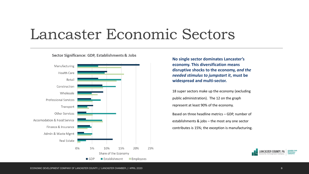### Lancaster Economic Sectors



#### Sector Significance: GDP, Establishments & Jobs

**No single sector dominates Lancaster's economy. This diversification means disruptive shocks to the economy,** *and the needed stimulus to jumpstart it***, must be widespread and multi-sector.** 

18 super sectors make up the economy (excluding public administration). The 12 on the graph represent at least 90% of the economy.

Based on three headline metrics – GDP, number of establishments & jobs – the most any one sector contributes is 15%; the exception is manufacturing.

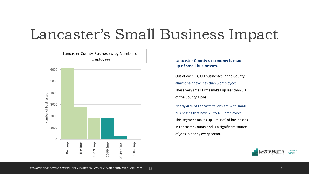### Lancaster's Small Business Impact



#### **Lancaster County's economy is made up of small businesses.**

Out of over 13,000 businesses in the County, almost half have less than 5 employees. These very small firms makes up less than 5% of the County's jobs.

Nearly 40% of Lancaster's jobs are with small businesses that have 20 to 499 employees. This segment makes up just 15% of businesses in Lancaster County and is a significant source of jobs in nearly every sector.

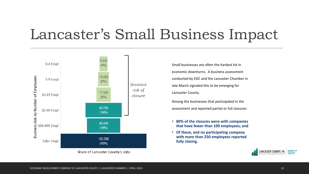### Lancaster's Small Business Impact



Small businesses are often the hardest hit in economic downturns. A business assessment conducted by EDC and the Lancaster Chamber in late March signaled this to be emerging for Lancaster County.

Among the businesses that participated in the assessment and reported partial or full closures:

- **80% of the closures were with companies that have fewer than 100 employees; and**
- **Of these, and no participating company with more than 250 employees reported fully closing.**



Share of Lancaster County's Jobs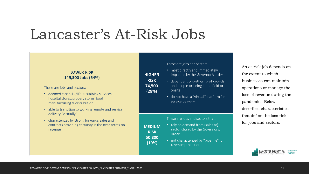### Lancaster's At-Risk Jobs

#### **LOWER RISK** 145,300 Jobs (54%)

These are jobs and sectors:

- deemed essential/life-sustaining services hospital stores, grocery stores, food manufacturing & distribution
- able to transition to working remote and service delivery "virtually"
- characterized by strong forwards sales and contracts providing certainty in the near terms on revenue

These are jobs and sectors:

**HIGHER** 

**RISK** 

74,500

 $(28%)$ 

**MEDIUM** 

**RISK** 

50,800

 $(19%)$ 

- most directly and immediately impacted by the Governor's order
- dependent on gathering of crowds and people or being in the field or onsite
- do not have a "virtual" platform for service delivery

These are jobs and sectors that:

- rely on demand from (sales to) sector closed by the Governor's order
- not characterized by "pipeline" for revenue projection

An at-risk job depends on the extent to which businesses can maintain operations or manage the loss of revenue during the pandemic. Below describes characteristics that define the loss risk for jobs and sectors.

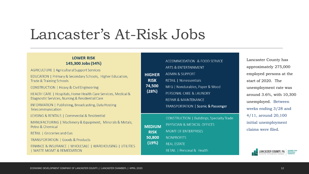### Lancaster's At-Risk Jobs

#### **LOWER RISK** 145,300 Jobs (54%)

AGRICULTURE | Agricultural Support Services

EDUCATION | Primary & Secondary Schools, Higher Education, Trade & Training Schools

CONSTRUCTION | Heavy & Civil Engineering

HEALTH CARE | Hospitals, Home Health Care Services, Medical & Diagnostic Services, Nursing & Residential Care

INFORMATION | Publishing, Broadcasting, Data Hosting Telecommunication

LEASING & RENTALS | Commercial & Residential

MANUFACTURING | Machinery & Equipment, Minerals & Metals, Petro & Chemical

RETAIL | Groceries and Gas

TRANSPORTATION | Goods & Products

FINANCE & INSURANCE | WHOLESALE | WAREHOUSING | UTILITIES **I WASTE MGMT & REMEDIATION** 

| <b>HIGHER</b><br><b>RISK</b><br>74,500<br>(28%) | ACCOMMODATION & FOOD SERVICE<br>ARTS & ENTERTAINMENT<br>ADMIN & SUPPORT<br><b>RETAIL   Nonessentials</b><br>MFG   Nondurables, Paper & Wood<br>PERSONAL CARE & LAUNDRY<br>REPAIR & MAINTENANCE<br>TRANSPORTATION   Scenic & Passenger |
|-------------------------------------------------|---------------------------------------------------------------------------------------------------------------------------------------------------------------------------------------------------------------------------------------|
| <b>MEDIUM</b><br><b>RISK</b>                    | CONSTRUCTION   Buildings, Specialty Trac<br>PHYSICIAN & MEDICAL OFFICES<br><b>MGMT OF ENTERPRISES</b>                                                                                                                                 |

50,800 **NONPROFITS**  $(19%)$ **REAL ESTATE** 

RETAIL | Personal & Health

Lancaster County has approximately 275,000 employed persons at the start of 2020. The unemployment rate was around 3.6%, with 10,300 unemployed. Between weeks ending 3/28 and 4/11, around 20,100 initial unemployment claims were filed.

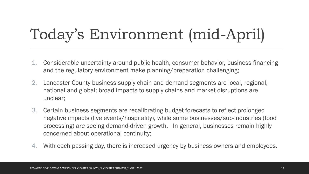# Today's Environment (mid-April)

- 1. Considerable uncertainty around public health, consumer behavior, business financing and the regulatory environment make planning/preparation challenging;
- 2. Lancaster County business supply chain and demand segments are local, regional, national and global; broad impacts to supply chains and market disruptions are unclear;
- 3. Certain business segments are recalibrating budget forecasts to reflect prolonged negative impacts (live events/hospitality), while some businesses/sub-industries (food processing) are seeing demand-driven growth. In general, businesses remain highly concerned about operational continuity;
- 4. With each passing day, there is increased urgency by business owners and employees.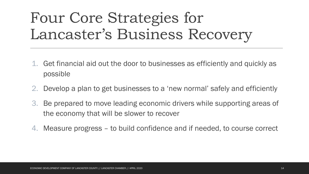# Four Core Strategies for Lancaster's Business Recovery

- 1. Get financial aid out the door to businesses as efficiently and quickly as possible
- 2. Develop a plan to get businesses to a 'new normal' safely and efficiently
- 3. Be prepared to move leading economic drivers while supporting areas of the economy that will be slower to recover
- 4. Measure progress to build confidence and if needed, to course correct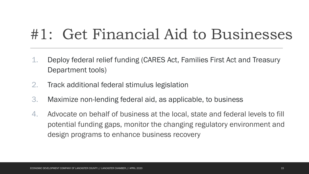## #1: Get Financial Aid to Businesses

- 1. Deploy federal relief funding (CARES Act, Families First Act and Treasury Department tools)
- 2. Track additional federal stimulus legislation
- 3. Maximize non-lending federal aid, as applicable, to business
- 4. Advocate on behalf of business at the local, state and federal levels to fill potential funding gaps, monitor the changing regulatory environment and design programs to enhance business recovery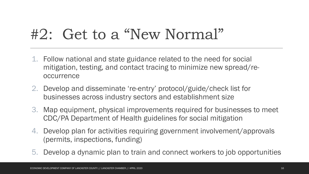## #2: Get to a "New Normal"

- 1. Follow national and state guidance related to the need for social mitigation, testing, and contact tracing to minimize new spread/reoccurrence
- 2. Develop and disseminate 're-entry' protocol/guide/check list for businesses across industry sectors and establishment size
- 3. Map equipment, physical improvements required for businesses to meet CDC/PA Department of Health guidelines for social mitigation
- 4. Develop plan for activities requiring government involvement/approvals (permits, inspections, funding)
- 5. Develop a dynamic plan to train and connect workers to job opportunities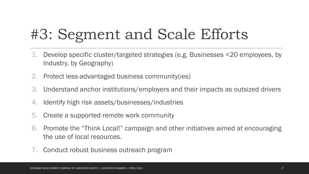# #3: Segment and Scale Efforts

- 1. Develop specific cluster/targeted strategies (e.g. Businesses <20 employees, by Industry, by Geography)
- 2. Protect less-advantaged business community(ies)
- 3. Understand anchor institutions/employers and their impacts as outsized drivers
- 4. Identify high risk assets/businesses/industries
- 5. Create a supported remote work community
- 6. Promote the "Think Local!" campaign and other initiatives aimed at encouraging the use of local resources.
- 7. Conduct robust business outreach program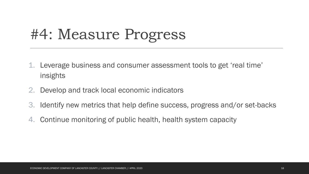## #4: Measure Progress

- 1. Leverage business and consumer assessment tools to get 'real time' insights
- 2. Develop and track local economic indicators
- 3. Identify new metrics that help define success, progress and/or set-backs
- 4. Continue monitoring of public health, health system capacity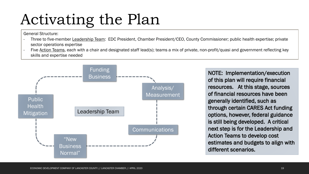# Activating the Plan

General Structure:

- Three to five-member Leadership Team: EDC President, Chamber President/CEO, County Commissioner; public health expertise; private sector operations expertise
- Five Action Teams, each with a chair and designated staff lead(s); teams a mix of private, non-profit/quasi and government reflecting key skills and expertise needed



NOTE: Implementation/execution of this plan will require financial resources. At this stage, sources of financial resources have been generally identified, such as through certain CARES Act funding options, however, federal guidance is still being developed. A critical next step is for the Leadership and Action Teams to develop cost estimates and budgets to align with different scenarios.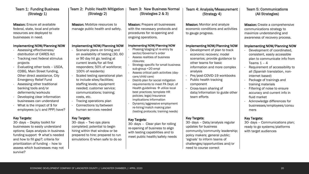| Team 1: Funding Business<br>(Strategy 1)                                                                                                                                                                                                                                                                                                                                                                                                                                                  | Team 2: Public Health Mitigation<br>(Strategy 2)                                                                                                                                                                                                                                                                                                                                                                                                                                   | <b>Team 3: New Business Normal</b><br>(Strategies 2 & 3)                                                                                                                                                                                                                                                                                                                                                                                                                                                                                                                                            | <b>Team 4: Analysis/Measurement</b><br>(Strategy 4)                                                                                                                                                                                                                                                                                                       | <b>Team 5: Communications</b><br>(All Strategies)                                                                                                                                                                                                                                                                                                                                                                                                     |
|-------------------------------------------------------------------------------------------------------------------------------------------------------------------------------------------------------------------------------------------------------------------------------------------------------------------------------------------------------------------------------------------------------------------------------------------------------------------------------------------|------------------------------------------------------------------------------------------------------------------------------------------------------------------------------------------------------------------------------------------------------------------------------------------------------------------------------------------------------------------------------------------------------------------------------------------------------------------------------------|-----------------------------------------------------------------------------------------------------------------------------------------------------------------------------------------------------------------------------------------------------------------------------------------------------------------------------------------------------------------------------------------------------------------------------------------------------------------------------------------------------------------------------------------------------------------------------------------------------|-----------------------------------------------------------------------------------------------------------------------------------------------------------------------------------------------------------------------------------------------------------------------------------------------------------------------------------------------------------|-------------------------------------------------------------------------------------------------------------------------------------------------------------------------------------------------------------------------------------------------------------------------------------------------------------------------------------------------------------------------------------------------------------------------------------------------------|
| <b>Mission:</b> Ensure all available<br>federal, state, local and private<br>resources are deployed to<br>businesses in need.                                                                                                                                                                                                                                                                                                                                                             | Mission: Mobilize resources to<br>manage public health and safety.                                                                                                                                                                                                                                                                                                                                                                                                                 | Mission: Prepare all businesses<br>with the necessary protocols and<br>procedures for re-opening and<br>ongoing operations.                                                                                                                                                                                                                                                                                                                                                                                                                                                                         | Mission: Monitor and analyze<br>economic conditions and activities<br>to gauge progress.                                                                                                                                                                                                                                                                  | Mission: Create a comprehensive<br>communications strategy to<br>maximize understanding and<br>awareness of recovery process.                                                                                                                                                                                                                                                                                                                         |
| <b>Implementing NOW/Planning NOW</b><br>Assessing effectiveness/<br>distribution of CARES Act<br>Tracking next federal stimulus<br>projects<br>Evaluating other tools - USDA,<br>CDBG, Main Street funding,<br>Other direct assistance, City<br><b>Emergency Relief Fund</b><br>Assessing other traditional<br>banking tools and/or<br>deferments/workouts<br>Developing clear information<br>businesses can understand<br>What is the impact of $$$ for<br>employees (u/c and PPP) have? | Implementing NOW/Planning NOW<br>Scenario plans on timing and<br>on availability of testing (30, 60<br>or 90 day hit go; testing at<br>current levels/for all first<br>responders; 50% of workforce;<br>100% of residents)<br>Scaled testing operational plan<br>to include sites/facilities;<br>staffing levels; equipment<br>needed; customer service;<br>communications; training;<br>costs, etc.<br>Tracing operations plan<br>Connections to/between<br>human services needed | <b>Implementing NOW/Planning NOW</b><br>Phasing/staging of re-entry by<br>sector/Governor's order<br>Assess realities of business<br>closures:<br>Strategy specific for small business<br>sub-group <20 empl<br>Assess critical path activities (day-<br>care/child care)<br>Distrib plan for social mitigation<br>requirements to meet PA Dept. of<br>Health guidelines $\rightarrow$ utilize local<br>best practices; template HR<br>policies; legal/insurance<br>implications information<br>Dynamic/aggressive employment<br>re-hiring/match making plan<br>(testing protocols; training needs) | <b>Implementing NOW/Planning NOW</b><br>Development of plan to track<br>economic recovery; model<br>scenarios; provide guidance to<br>other teams for basic<br>information and more complex<br>analysis<br>Pre/post-COVID-19 workbooks<br>Public health tracking<br>component<br>Cross-team sharing of<br>data/information to guide other<br>team efforts | <b>Implementing NOW/Planning NOW</b><br>Development of coordinated,<br>consistent, easily accessible<br>plan to communicate info from<br>Teams $1 - 4$<br>Requirement of accessibility to<br>all (Spanish translation, non-<br>internet based)<br>Package of trainings and<br>training materials<br>Filtering of noise to ensure<br>accuracy and current info in<br>fluid market<br>Acknowledge differences for<br>businesses/employees/consu<br>mers |
| <b>Key Targets:</b><br>30- days - Deploy toolkit for<br>businesses to easily understand<br>options; Gaps analysis in business<br>funding support $\rightarrow$ what's needed<br>and how to fill gap?; criteria for<br>prioritization of funding - how to<br>assess which businesses may not<br>survive?                                                                                                                                                                                   | <b>Key Targets:</b><br>30- days - Two ops plans<br>completed; potential to begin<br>hiring within that window or be<br>prepared to hire; prepared to run<br>simulations if/when safe to do so                                                                                                                                                                                                                                                                                      | <b>Key Targets:</b><br>30- days - Clear plan for rolling<br>re-opening of business to align<br>with testing capabilities and to<br>meet public health/safety needs                                                                                                                                                                                                                                                                                                                                                                                                                                  | <b>Key Targets:</b><br>30- days - Data/analysis regular<br>updates for business<br>community/community leadership;<br>policy makers; general public;<br>'signals' to inform teams of<br>challenges/opportunities and/or<br>need to course correct                                                                                                         | <b>Key Targets:</b><br>30- days - Communications plan;<br>ready to go systems/platforms<br>with target audiences                                                                                                                                                                                                                                                                                                                                      |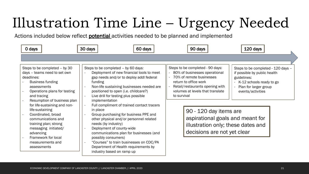# Illustration Time Line – Urgency Needed

Actions included below reflect **potential** activities needed to be planned and implemented

| 0 days                                                                                                                                                                                                                       | 30 days                                                                                                                                                                                                                                                                                                                                      | 60 days | 90 days                                                                                                                                                                                                      | 120 days                                                                                                                                                    |
|------------------------------------------------------------------------------------------------------------------------------------------------------------------------------------------------------------------------------|----------------------------------------------------------------------------------------------------------------------------------------------------------------------------------------------------------------------------------------------------------------------------------------------------------------------------------------------|---------|--------------------------------------------------------------------------------------------------------------------------------------------------------------------------------------------------------------|-------------------------------------------------------------------------------------------------------------------------------------------------------------|
|                                                                                                                                                                                                                              |                                                                                                                                                                                                                                                                                                                                              |         |                                                                                                                                                                                                              |                                                                                                                                                             |
| Steps to be completed - by 30<br>days - teams need to set own<br>deadlines:<br>Business funding<br>assessments<br>Operations plans for testing<br>and tracing<br>Resumption of business plan<br>for life-sustaining and non- | Steps to be completed - by 60 days:<br>Deployment of new financial tools to meet<br>gap needs and/or to deploy addl federal<br>funding<br>Non-life sustaining businesses needed are<br>positioned to open (i.e. childcare?)<br>Live drill for testing plus possible<br>implementation<br>Full compliment of trained contact tracers          |         | Steps to be completed - 90 days:<br>80% of businesses operational<br>70% of remote businesses<br>return to office work<br>Retail/restaurants opening with<br>volumes at levels that translate<br>to survival | Steps to be completed - 120 days -<br>if possible by public health<br>guidelines:<br>K-12 schools ready to go<br>Plan for larger group<br>events/activities |
| life-sustaining<br>Coordinated, broad<br>communications and<br>training plan; strong<br>messaging initiated/<br>advancing<br>Framework for local<br>measurements and<br>assessments                                          | in place<br>Group purchasing for business PPE and<br>other physical and/or personnel related<br>needs (by industry)<br>Deployment of county-wide<br>communications plan for businesses (and<br>possibly consumers)<br>"Courses" to train businesses on CDC/PA<br>$\sim$<br>Department of Health requirements by<br>industry based on ramp up |         | 90 - 120 day items are<br>aspirational goals and meant for<br>illustration only; these dates and<br>decisions are not yet clear                                                                              |                                                                                                                                                             |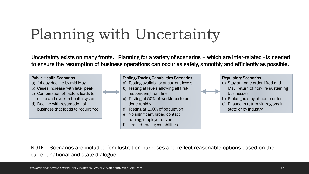# Planning with Uncertainty

Uncertainty exists on many fronts. Planning for a variety of scenarios – which are inter-related - is needed to ensure the resumption of business operations can occur as safely, smoothly and efficiently as possible.



NOTE: Scenarios are included for illustration purposes and reflect reasonable options based on the current national and state dialogue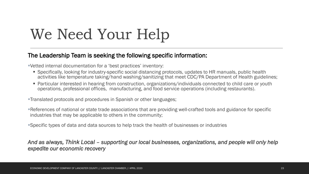# We Need Your Help

#### The Leadership Team is seeking the following specific information:

▪Vetted internal documentation for a 'best practices' inventory:

- Specifically, looking for industry-specific social distancing protocols, updates to HR manuals, public health activities like temperature taking/hand washing/sanitizing that meet CDC/PA Department of Health guidelines;
- Particular interested in hearing from construction, organizations/individuals connected to child care or youth operations, professional offices, manufacturing, and food service operations (including restaurants).

▪Translated protocols and procedures in Spanish or other languages;

■References of national or state trade associations that are providing well-crafted tools and guidance for specific industries that may be applicable to others in the community;

▪Specific types of data and data sources to help track the health of businesses or industries

*And as always, Think Local – supporting our local businesses, organizations, and people will only help expedite our economic recovery*